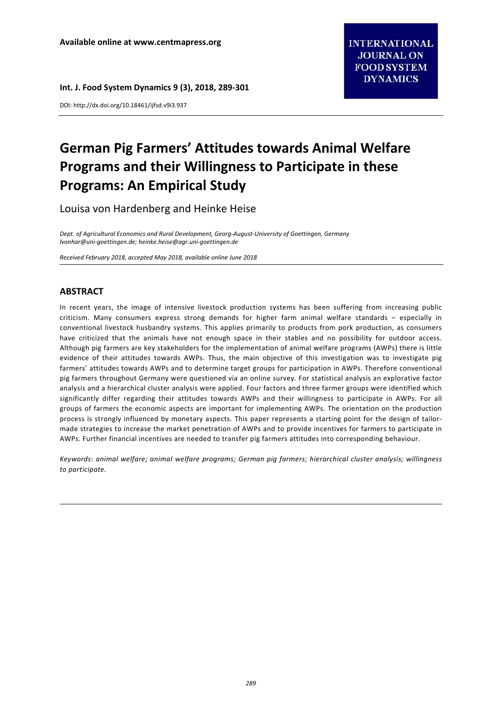**Int. J. Food System Dynamics 9 (3), 2018, 289‐301** 

DOI: http://dx.doi.org/10.18461/ijfsd.v9i3.937

# **German Pig Farmers' Attitudes towards Animal Welfare Programs and their Willingness to Participate in these Programs: An Empirical Study**

Louisa von Hardenberg and Heinke Heise

*Dept. of Agricultural Economics and Rural Development, Georg‐August‐University of Goettingen, Germany lvonhar@uni‐goettingen.de; heinke.heise@agr.uni‐goettingen.de* 

*Received February 2018, accepted May 2018, available online June 2018* 

# **ABSTRACT**

In recent years, the image of intensive livestock production systems has been suffering from increasing public criticism. Many consumers express strong demands for higher farm animal welfare standards – especially in conventional livestock husbandry systems. This applies primarily to products from pork production, as consumers have criticized that the animals have not enough space in their stables and no possibility for outdoor access. Although pig farmers are key stakeholders for the implementation of animal welfare programs (AWPs) there is little evidence of their attitudes towards AWPs. Thus, the main objective of this investigation was to investigate pig farmers' attitudes towards AWPs and to determine target groups for participation in AWPs. Therefore conventional pig farmers throughout Germany were questioned via an online survey. For statistical analysis an explorative factor analysis and a hierarchical cluster analysis were applied. Four factors and three farmer groups were identified which significantly differ regarding their attitudes towards AWPs and their willingness to participate in AWPs. For all groups of farmers the economic aspects are important for implementing AWPs. The orientation on the production process is strongly influenced by monetary aspects. This paper represents a starting point for the design of tailormade strategies to increase the market penetration of AWPs and to provide incentives for farmers to participate in AWPs. Further financial incentives are needed to transfer pig farmers attitudes into corresponding behaviour.

*Keywords: animal welfare; animal welfare programs; German pig farmers; hierarchical cluster analysis; willingness to participate.*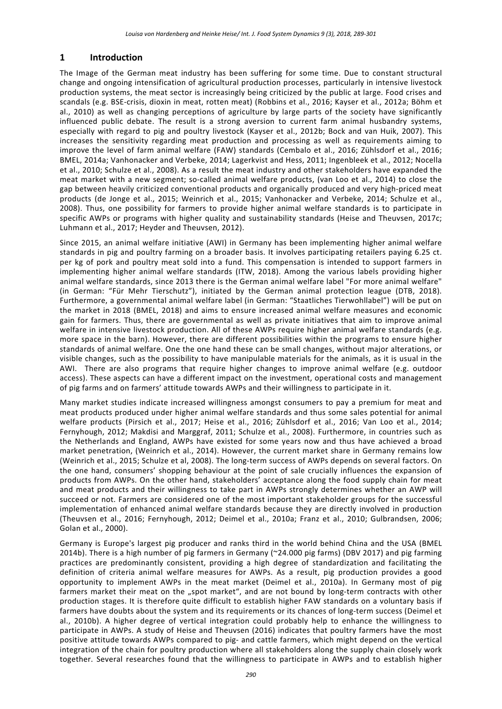# **1 Introduction**

The Image of the German meat industry has been suffering for some time. Due to constant structural change and ongoing intensification of agricultural production processes, particularly in intensive livestock production systems, the meat sector is increasingly being criticized by the public at large. Food crises and scandals (e.g. BSE‐crisis, dioxin in meat, rotten meat) (Robbins et al., 2016; Kayser et al., 2012a; Böhm et al., 2010) as well as changing perceptions of agriculture by large parts of the society have significantly influenced public debate. The result is a strong aversion to current farm animal husbandry systems, especially with regard to pig and poultry livestock (Kayser et al., 2012b; Bock and van Huik, 2007). This increases the sensitivity regarding meat production and processing as well as requirements aiming to improve the level of farm animal welfare (FAW) standards (Cembalo et al., 2016; Zühlsdorf et al., 2016; BMEL, 2014a; Vanhonacker and Verbeke, 2014; Lagerkvist and Hess, 2011; Ingenbleek et al., 2012; Nocella et al., 2010; Schulze et al., 2008). As a result the meat industry and other stakeholders have expanded the meat market with a new segment; so-called animal welfare products, (van Loo et al., 2014) to close the gap between heavily criticized conventional products and organically produced and very high‐priced meat products (de Jonge et al., 2015; Weinrich et al., 2015; Vanhonacker and Verbeke, 2014; Schulze et al., 2008). Thus, one possibility for farmers to provide higher animal welfare standards is to participate in specific AWPs or programs with higher quality and sustainability standards (Heise and Theuvsen, 2017c; Luhmann et al., 2017; Heyder and Theuvsen, 2012).

Since 2015, an animal welfare initiative (AWI) in Germany has been implementing higher animal welfare standards in pig and poultry farming on a broader basis. It involves participating retailers paying 6.25 ct. per kg of pork and poultry meat sold into a fund. This compensation is intended to support farmers in implementing higher animal welfare standards (ITW, 2018). Among the various labels providing higher animal welfare standards, since 2013 there is the German animal welfare label "For more animal welfare" (in German: "Für Mehr Tierschutz"), initiated by the German animal protection league (DTB, 2018). Furthermore, a governmental animal welfare label (in German: "Staatliches Tierwohllabel") will be put on the market in 2018 (BMEL, 2018) and aims to ensure increased animal welfare measures and economic gain for farmers. Thus, there are governmental as well as private initiatives that aim to improve animal welfare in intensive livestock production. All of these AWPs require higher animal welfare standards (e.g. more space in the barn). However, there are different possibilities within the programs to ensure higher standards of animal welfare. One the one hand these can be small changes, without major alterations, or visible changes, such as the possibility to have manipulable materials for the animals, as it is usual in the AWI. There are also programs that require higher changes to improve animal welfare (e.g. outdoor access). These aspects can have a different impact on the investment, operational costs and management of pig farms and on farmers' attitude towards AWPs and their willingness to participate in it.

Many market studies indicate increased willingness amongst consumers to pay a premium for meat and meat products produced under higher animal welfare standards and thus some sales potential for animal welfare products (Pirsich et al., 2017; Heise et al., 2016; Zühlsdorf et al., 2016; Van Loo et al., 2014; Fernyhough, 2012; Makdisi and Marggraf, 2011; Schulze et al., 2008). Furthermore, in countries such as the Netherlands and England, AWPs have existed for some years now and thus have achieved a broad market penetration, (Weinrich et al., 2014). However, the current market share in Germany remains low (Weinrich et al., 2015; Schulze et al, 2008). The long‐term success of AWPs depends on several factors. On the one hand, consumers' shopping behaviour at the point of sale crucially influences the expansion of products from AWPs. On the other hand, stakeholders' acceptance along the food supply chain for meat and meat products and their willingness to take part in AWPs strongly determines whether an AWP will succeed or not. Farmers are considered one of the most important stakeholder groups for the successful implementation of enhanced animal welfare standards because they are directly involved in production (Theuvsen et al., 2016; Fernyhough, 2012; Deimel et al., 2010a; Franz et al., 2010; Gulbrandsen, 2006; Golan et al., 2000).

Germany is Europe's largest pig producer and ranks third in the world behind China and the USA (BMEL 2014b). There is a high number of pig farmers in Germany (~24.000 pig farms) (DBV 2017) and pig farming practices are predominantly consistent, providing a high degree of standardization and facilitating the definition of criteria animal welfare measures for AWPs. As a result, pig production provides a good opportunity to implement AWPs in the meat market (Deimel et al., 2010a). In Germany most of pig farmers market their meat on the "spot market", and are not bound by long-term contracts with other production stages. It is therefore quite difficult to establish higher FAW standards on a voluntary basis if farmers have doubts about the system and its requirements or its chances of long-term success (Deimel et al., 2010b). A higher degree of vertical integration could probably help to enhance the willingness to participate in AWPs. A study of Heise and Theuvsen (2016) indicates that poultry farmers have the most positive attitude towards AWPs compared to pig‐ and cattle farmers, which might depend on the vertical integration of the chain for poultry production where all stakeholders along the supply chain closely work together. Several researches found that the willingness to participate in AWPs and to establish higher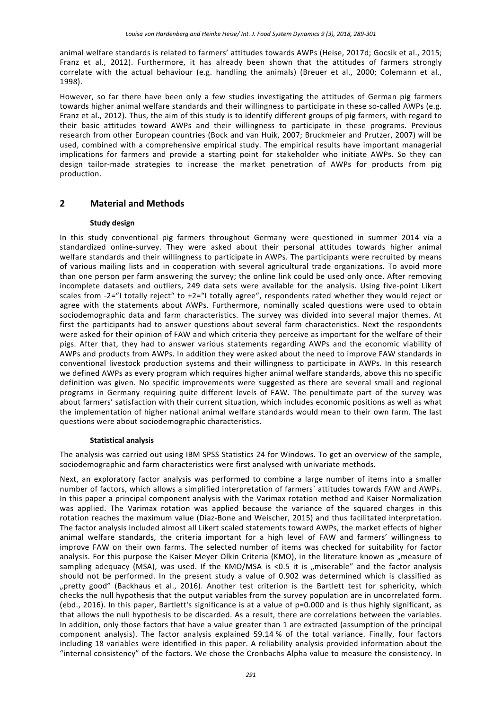animal welfare standards is related to farmers' attitudes towards AWPs (Heise, 2017d; Gocsik et al., 2015; Franz et al., 2012). Furthermore, it has already been shown that the attitudes of farmers strongly correlate with the actual behaviour (e.g. handling the animals) (Breuer et al., 2000; Colemann et al., 1998).

However, so far there have been only a few studies investigating the attitudes of German pig farmers towards higher animal welfare standards and their willingness to participate in these so-called AWPs (e.g. Franz et al., 2012). Thus, the aim of this study is to identify different groups of pig farmers, with regard to their basic attitudes toward AWPs and their willingness to participate in these programs. Previous research from other European countries (Bock and van Huik, 2007; Bruckmeier and Prutzer, 2007) will be used, combined with a comprehensive empirical study. The empirical results have important managerial implications for farmers and provide a starting point for stakeholder who initiate AWPs. So they can design tailor-made strategies to increase the market penetration of AWPs for products from pig production.

# **2 Material and Methods**

## **Study design**

In this study conventional pig farmers throughout Germany were questioned in summer 2014 via a standardized online‐survey. They were asked about their personal attitudes towards higher animal welfare standards and their willingness to participate in AWPs. The participants were recruited by means of various mailing lists and in cooperation with several agricultural trade organizations. To avoid more than one person per farm answering the survey; the online link could be used only once. After removing incomplete datasets and outliers, 249 data sets were available for the analysis. Using five-point Likert scales from -2="I totally reject" to +2="I totally agree", respondents rated whether they would reject or agree with the statements about AWPs. Furthermore, nominally scaled questions were used to obtain sociodemographic data and farm characteristics. The survey was divided into several major themes. At first the participants had to answer questions about several farm characteristics. Next the respondents were asked for their opinion of FAW and which criteria they perceive as important for the welfare of their pigs. After that, they had to answer various statements regarding AWPs and the economic viability of AWPs and products from AWPs. In addition they were asked about the need to improve FAW standards in conventional livestock production systems and their willingness to participate in AWPs. In this research we defined AWPs as every program which requires higher animal welfare standards, above this no specific definition was given. No specific improvements were suggested as there are several small and regional programs in Germany requiring quite different levels of FAW. The penultimate part of the survey was about farmers' satisfaction with their current situation, which includes economic positions as well as what the implementation of higher national animal welfare standards would mean to their own farm. The last questions were about sociodemographic characteristics.

## **Statistical analysis**

The analysis was carried out using IBM SPSS Statistics 24 for Windows. To get an overview of the sample, sociodemographic and farm characteristics were first analysed with univariate methods.

Next, an exploratory factor analysis was performed to combine a large number of items into a smaller number of factors, which allows a simplified interpretation of farmers` attitudes towards FAW and AWPs. In this paper a principal component analysis with the Varimax rotation method and Kaiser Normalization was applied. The Varimax rotation was applied because the variance of the squared charges in this rotation reaches the maximum value (Diaz‐Bone and Weischer, 2015) and thus facilitated interpretation. The factor analysis included almost all Likert scaled statements toward AWPs, the market effects of higher animal welfare standards, the criteria important for a high level of FAW and farmers' willingness to improve FAW on their own farms. The selected number of items was checked for suitability for factor analysis. For this purpose the Kaiser Meyer Olkin Criteria (KMO), in the literature known as "measure of sampling adequacy (MSA), was used. If the KMO/MSA is <0.5 it is "miserable" and the factor analysis should not be performed. In the present study a value of 0.902 was determined which is classified as "pretty good" (Backhaus et al., 2016). Another test criterion is the Bartlett test for sphericity, which checks the null hypothesis that the output variables from the survey population are in uncorrelated form. (ebd., 2016). In this paper, Bartlett's significance is at a value of p=0.000 and is thus highly significant, as that allows the null hypothesis to be discarded. As a result, there are correlations between the variables. In addition, only those factors that have a value greater than 1 are extracted (assumption of the principal component analysis). The factor analysis explained 59.14 % of the total variance. Finally, four factors including 18 variables were identified in this paper. A reliability analysis provided information about the "internal consistency" of the factors. We chose the Cronbachs Alpha value to measure the consistency. In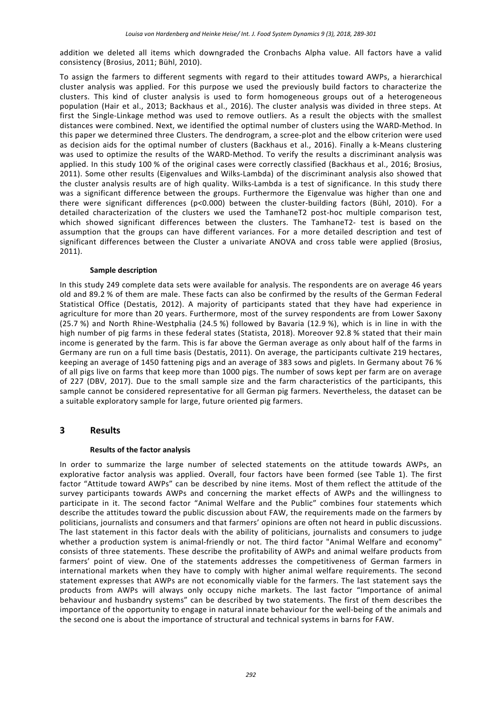addition we deleted all items which downgraded the Cronbachs Alpha value. All factors have a valid consistency (Brosius, 2011; Bühl, 2010).

To assign the farmers to different segments with regard to their attitudes toward AWPs, a hierarchical cluster analysis was applied. For this purpose we used the previously build factors to characterize the clusters. This kind of cluster analysis is used to form homogeneous groups out of a heterogeneous population (Hair et al., 2013; Backhaus et al., 2016). The cluster analysis was divided in three steps. At first the Single-Linkage method was used to remove outliers. As a result the objects with the smallest distances were combined. Next, we identified the optimal number of clusters using the WARD‐Method. In this paper we determined three Clusters. The dendrogram, a scree‐plot and the elbow criterion were used as decision aids for the optimal number of clusters (Backhaus et al., 2016). Finally a k-Means clustering was used to optimize the results of the WARD-Method. To verify the results a discriminant analysis was applied. In this study 100 % of the original cases were correctly classified (Backhaus et al., 2016; Brosius, 2011). Some other results (Eigenvalues and Wilks‐Lambda) of the discriminant analysis also showed that the cluster analysis results are of high quality. Wilks-Lambda is a test of significance. In this study there was a significant difference between the groups. Furthermore the Eigenvalue was higher than one and there were significant differences (p<0.000) between the cluster-building factors (Bühl, 2010). For a detailed characterization of the clusters we used the TamhaneT2 post‐hoc multiple comparison test, which showed significant differences between the clusters. The TamhaneT2- test is based on the assumption that the groups can have different variances. For a more detailed description and test of significant differences between the Cluster a univariate ANOVA and cross table were applied (Brosius, 2011).

## **Sample description**

In this study 249 complete data sets were available for analysis. The respondents are on average 46 years old and 89.2 % of them are male. These facts can also be confirmed by the results of the German Federal Statistical Office (Destatis, 2012). A majority of participants stated that they have had experience in agriculture for more than 20 years. Furthermore, most of the survey respondents are from Lower Saxony (25.7 %) and North Rhine‐Westphalia (24.5 %) followed by Bavaria (12.9 %), which is in line in with the high number of pig farms in these federal states (Statista, 2018). Moreover 92.8 % stated that their main income is generated by the farm. This is far above the German average as only about half of the farms in Germany are run on a full time basis (Destatis, 2011). On average, the participants cultivate 219 hectares, keeping an average of 1450 fattening pigs and an average of 383 sows and piglets. In Germany about 76 % of all pigs live on farms that keep more than 1000 pigs. The number of sows kept per farm are on average of 227 (DBV, 2017). Due to the small sample size and the farm characteristics of the participants, this sample cannot be considered representative for all German pig farmers. Nevertheless, the dataset can be a suitable exploratory sample for large, future oriented pig farmers.

# **3 Results**

## **Results of the factor analysis**

In order to summarize the large number of selected statements on the attitude towards AWPs, an explorative factor analysis was applied. Overall, four factors have been formed (see Table 1). The first factor "Attitude toward AWPs" can be described by nine items. Most of them reflect the attitude of the survey participants towards AWPs and concerning the market effects of AWPs and the willingness to participate in it. The second factor "Animal Welfare and the Public" combines four statements which describe the attitudes toward the public discussion about FAW, the requirements made on the farmers by politicians, journalists and consumers and that farmers' opinions are often not heard in public discussions. The last statement in this factor deals with the ability of politicians, journalists and consumers to judge whether a production system is animal-friendly or not. The third factor "Animal Welfare and economy" consists of three statements. These describe the profitability of AWPs and animal welfare products from farmers' point of view. One of the statements addresses the competitiveness of German farmers in international markets when they have to comply with higher animal welfare requirements. The second statement expresses that AWPs are not economically viable for the farmers. The last statement says the products from AWPs will always only occupy niche markets. The last factor "Importance of animal behaviour and husbandry systems" can be described by two statements. The first of them describes the importance of the opportunity to engage in natural innate behaviour for the well‐being of the animals and the second one is about the importance of structural and technical systems in barns for FAW.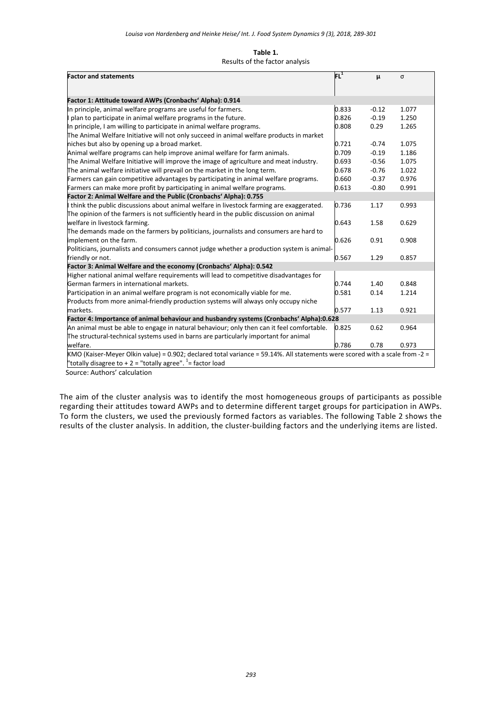#### **Table 1.**

#### Results of the factor analysis

| <b>Factor and statements</b>                                                                                                | $\mathsf{FL}^1$ | μ       | σ     |
|-----------------------------------------------------------------------------------------------------------------------------|-----------------|---------|-------|
|                                                                                                                             |                 |         |       |
| Factor 1: Attitude toward AWPs (Cronbachs' Alpha): 0.914                                                                    |                 |         |       |
| In principle, animal welfare programs are useful for farmers.                                                               | 0.833           | $-0.12$ | 1.077 |
| I plan to participate in animal welfare programs in the future.                                                             | 0.826           | $-0.19$ | 1.250 |
| In principle, I am willing to participate in animal welfare programs.                                                       | 0.808           | 0.29    | 1.265 |
| The Animal Welfare Initiative will not only succeed in animal welfare products in market                                    |                 |         |       |
| niches but also by opening up a broad market.                                                                               | 0.721           | $-0.74$ | 1.075 |
| Animal welfare programs can help improve animal welfare for farm animals.                                                   | 0.709           | $-0.19$ | 1.186 |
| The Animal Welfare Initiative will improve the image of agriculture and meat industry.                                      | 0.693           | $-0.56$ | 1.075 |
| The animal welfare initiative will prevail on the market in the long term.                                                  | 0.678           | $-0.76$ | 1.022 |
| Farmers can gain competitive advantages by participating in animal welfare programs.                                        | 0.660           | $-0.37$ | 0.976 |
| Farmers can make more profit by participating in animal welfare programs.                                                   | 0.613           | $-0.80$ | 0.991 |
| Factor 2: Animal Welfare and the Public (Cronbachs' Alpha): 0.755                                                           |                 |         |       |
| If think the public discussions about animal welfare in livestock farming are exaggerated.                                  | 0.736           | 1.17    | 0.993 |
| The opinion of the farmers is not sufficiently heard in the public discussion on animal                                     |                 |         |       |
| welfare in livestock farming.                                                                                               | 0.643           | 1.58    | 0.629 |
| The demands made on the farmers by politicians, journalists and consumers are hard to                                       |                 |         |       |
| implement on the farm.                                                                                                      | 0.626           | 0.91    | 0.908 |
| Politicians, journalists and consumers cannot judge whether a production system is animal-                                  |                 |         |       |
| friendly or not.                                                                                                            | 0.567           | 1.29    | 0.857 |
| Factor 3: Animal Welfare and the economy (Cronbachs' Alpha): 0.542                                                          |                 |         |       |
| Higher national animal welfare requirements will lead to competitive disadvantages for                                      |                 |         |       |
| German farmers in international markets.                                                                                    | 0.744           | 1.40    | 0.848 |
| Participation in an animal welfare program is not economically viable for me.                                               | 0.581           | 0.14    | 1.214 |
| Products from more animal-friendly production systems will always only occupy niche                                         |                 |         |       |
| markets.                                                                                                                    | 0.577           | 1.13    | 0.921 |
| Factor 4: Importance of animal behaviour and husbandry systems (Cronbachs' Alpha):0.628                                     |                 |         |       |
| An animal must be able to engage in natural behaviour; only then can it feel comfortable.                                   | 0.825           | 0.62    | 0.964 |
| The structural-technical systems used in barns are particularly important for animal                                        |                 |         |       |
| welfare.                                                                                                                    | 0.786           | 0.78    | 0.973 |
| KMO (Kaiser-Meyer Olkin value) = 0.902; declared total variance = 59.14%. All statements were scored with a scale from -2 = |                 |         |       |
| "totally disagree to $+ 2 =$ "totally agree". $=$ factor load                                                               |                 |         |       |

Source: Authors' calculation

The aim of the cluster analysis was to identify the most homogeneous groups of participants as possible regarding their attitudes toward AWPs and to determine different target groups for participation in AWPs. To form the clusters, we used the previously formed factors as variables. The following Table 2 shows the results of the cluster analysis. In addition, the cluster‐building factors and the underlying items are listed.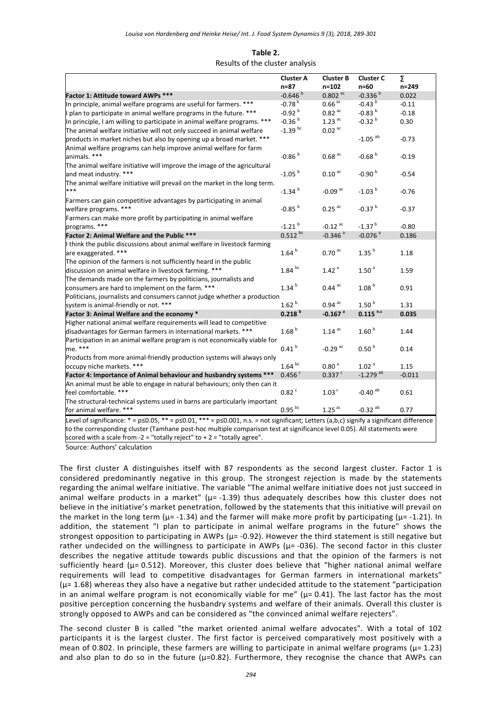# **Table 2.**

#### Results of the cluster analysis

|                                                                                                                                                                                                                                                                                          | <b>Cluster A</b>     | <b>Cluster B</b>      | <b>Cluster C</b>       | Σ         |
|------------------------------------------------------------------------------------------------------------------------------------------------------------------------------------------------------------------------------------------------------------------------------------------|----------------------|-----------------------|------------------------|-----------|
|                                                                                                                                                                                                                                                                                          | $n=87$               | n=102                 | n=60                   | $n = 249$ |
| Factor 1: Attitude toward AWPs ***                                                                                                                                                                                                                                                       | $-0.646b$            | $0.802$ <sup>ac</sup> | $-0.336b$              | 0.022     |
| In principle, animal welfare programs are useful for farmers. ***                                                                                                                                                                                                                        | $-0.78b$             | $0.66$ <sup>ac</sup>  | $-0.43b$               | $-0.11$   |
| I plan to participate in animal welfare programs in the future. ***                                                                                                                                                                                                                      | $-0.92h{b}$          | $0.82$ <sup>ac</sup>  | $-0.83b$               | $-0.18$   |
| In principle, I am willing to participate in animal welfare programs. ***                                                                                                                                                                                                                | $-0.36b$             | $1.23$ <sup>ac</sup>  | $-0.32b$               | 0.30      |
| The animal welfare initiative will not only succeed in animal welfare                                                                                                                                                                                                                    | $-1.39$ bc           | $0.02$ <sup>ac</sup>  |                        |           |
| products in market niches but also by opening up a broad market. ***                                                                                                                                                                                                                     |                      |                       | $-1.05$ <sup>ab</sup>  | $-0.73$   |
| Animal welfare programs can help improve animal welfare for farm                                                                                                                                                                                                                         |                      |                       |                        |           |
| animals. ***                                                                                                                                                                                                                                                                             | $-0.86b$             | $0.68$ <sup>ac</sup>  | $-0.68b$               | $-0.19$   |
| The animal welfare initiative will improve the image of the agricultural                                                                                                                                                                                                                 |                      |                       |                        |           |
| and meat industry. ***                                                                                                                                                                                                                                                                   | $-1.05$ <sup>b</sup> | $0.10$ <sup>ac</sup>  | $-0.90b$               | $-0.54$   |
| The animal welfare initiative will prevail on the market in the long term.                                                                                                                                                                                                               |                      |                       |                        |           |
| ***                                                                                                                                                                                                                                                                                      | $-1.34$ <sup>b</sup> | $-0.09$ <sup>ac</sup> | $-1.03b$               | $-0.76$   |
| Farmers can gain competitive advantages by participating in animal                                                                                                                                                                                                                       |                      |                       |                        |           |
| welfare programs. ***                                                                                                                                                                                                                                                                    | $-0.85b$             | $0.25$ <sup>ac</sup>  | $-0.37h$               | $-0.37$   |
| Farmers can make more profit by participating in animal welfare                                                                                                                                                                                                                          |                      |                       |                        |           |
| programs. ***                                                                                                                                                                                                                                                                            | $-1.21$ <sup>b</sup> | $-0.12$ <sup>ac</sup> | $-1.37b$               | $-0.80$   |
| Factor 2: Animal Welfare and the Public ***                                                                                                                                                                                                                                              | $0.512$ bc           | $-0.346$ <sup>a</sup> | $-0.076$ <sup>a</sup>  | 0.186     |
| I think the public discussions about animal welfare in livestock farming                                                                                                                                                                                                                 |                      |                       |                        |           |
| are exaggerated. ***                                                                                                                                                                                                                                                                     | 1.64hb               | $0.70$ <sup>ac</sup>  | 1.35 <sup>b</sup>      | 1.18      |
| The opinion of the farmers is not sufficiently heard in the public                                                                                                                                                                                                                       |                      |                       |                        |           |
| discussion on animal welfare in livestock farming. ***                                                                                                                                                                                                                                   | $1.84$ bc            | 1.42 <sup>a</sup>     | 1.50 <sup>a</sup>      | 1.59      |
| The demands made on the farmers by politicians, journalists and                                                                                                                                                                                                                          |                      |                       |                        |           |
| consumers are hard to implement on the farm. ***                                                                                                                                                                                                                                         | 1.34 <sup>b</sup>    | $0.44$ <sup>ac</sup>  | 1.08 <sup>b</sup>      | 0.91      |
| Politicians, journalists and consumers cannot judge whether a production                                                                                                                                                                                                                 |                      |                       |                        |           |
| system is animal-friendly or not. ***                                                                                                                                                                                                                                                    | 1.62 <sup>b</sup>    | $0.94$ <sup>ac</sup>  | 1.50 <sup>b</sup>      | 1.31      |
| Factor 3: Animal Welfare and the economy *                                                                                                                                                                                                                                               | 0.218 <sup>b</sup>   | $-0.167$ <sup>a</sup> | $0.115$ <sup>n.s</sup> | 0.035     |
| Higher national animal welfare requirements will lead to competitive                                                                                                                                                                                                                     |                      |                       |                        |           |
| disadvantages for German farmers in international markets. ***                                                                                                                                                                                                                           | 1.68 <sup>b</sup>    | $1.14$ <sup>ac</sup>  | 1.60 <sup>b</sup>      | 1.44      |
| Participation in an animal welfare program is not economically viable for                                                                                                                                                                                                                |                      |                       |                        |           |
| me. ***                                                                                                                                                                                                                                                                                  | 0.41 <sup>b</sup>    | $-0.29$ <sup>ac</sup> | 0.50 <sup>b</sup>      | 0.14      |
| Products from more animal-friendly production systems will always only                                                                                                                                                                                                                   |                      |                       |                        |           |
| occupy niche markets. ***                                                                                                                                                                                                                                                                | $1.64$ bc            | 0.80 <sup>a</sup>     | 1.02 <sup>a</sup>      | 1.15      |
| Factor 4: Importance of Animal behaviour and husbandry systems ***                                                                                                                                                                                                                       | 0.456 <sup>c</sup>   | $0.337$ <sup>c</sup>  | $-1.279$ <sup>ab</sup> | $-0.011$  |
| An animal must be able to engage in natural behaviours; only then can it                                                                                                                                                                                                                 |                      |                       |                        |           |
| feel comfortable. ***                                                                                                                                                                                                                                                                    | $0.82$ <sup>c</sup>  | 1.03 <sup>c</sup>     | $-0.40$ <sup>ab</sup>  | 0.61      |
| The structural-technical systems used in barns are particularly important                                                                                                                                                                                                                |                      |                       |                        |           |
| for animal welfare. ***                                                                                                                                                                                                                                                                  | $0.95$ <sup>bc</sup> | $1.25$ <sup>ac</sup>  | $-0.32$ <sup>ab</sup>  | 0.77      |
|                                                                                                                                                                                                                                                                                          |                      |                       |                        |           |
| Level of significance: * = $p \le 0.05$ , ** = $p \le 0.01$ , *** = $p \le 0.001$ , n.s. = not significant; Letters (a,b,c) signify a significant difference<br>to the corresponding cluster (Tamhane post-hoc multiple comparison test at significance level 0.05). All statements were |                      |                       |                        |           |
|                                                                                                                                                                                                                                                                                          |                      |                       |                        |           |
| scored with a scale from -2 = "totally reject" to +2 = "totally agree".                                                                                                                                                                                                                  |                      |                       |                        |           |

Source: Authors' calculation

The first cluster A distinguishes itself with 87 respondents as the second largest cluster. Factor 1 is considered predominantly negative in this group. The strongest rejection is made by the statements regarding the animal welfare initiative. The variable "The animal welfare initiative does not just succeed in animal welfare products in a market"  $(\mu = -1.39)$  thus adequately describes how this cluster does not believe in the initiative's market penetration, followed by the statements that this initiative will prevail on the market in the long term ( $\mu$ = -1.34) and the farmer will make more profit by participating ( $\mu$ = -1.21). In addition, the statement "I plan to participate in animal welfare programs in the future" shows the strongest opposition to participating in AWPs ( $\mu$ = -0.92). However the third statement is still negative but rather undecided on the willingness to participate in AWPs  $(\mu = -036)$ . The second factor in this cluster describes the negative attitude towards public discussions and that the opinion of the farmers is not sufficiently heard ( $\mu$ = 0.512). Moreover, this cluster does believe that "higher national animal welfare requirements will lead to competitive disadvantages for German farmers in international markets"  $(\mu=1.68)$  whereas they also have a negative but rather undecided attitude to the statement "participation" in an animal welfare program is not economically viable for me" ( $\mu$ = 0.41). The last factor has the most positive perception concerning the husbandry systems and welfare of their animals. Overall this cluster is strongly opposed to AWPs and can be considered as "the convinced animal welfare rejecters".

The second cluster B is called "the market oriented animal welfare advocates". With a total of 102 participants it is the largest cluster. The first factor is perceived comparatively most positively with a mean of 0.802. In principle, these farmers are willing to participate in animal welfare programs ( $\mu$ = 1.23) and also plan to do so in the future  $(\mu=0.82)$ . Furthermore, they recognise the chance that AWPs can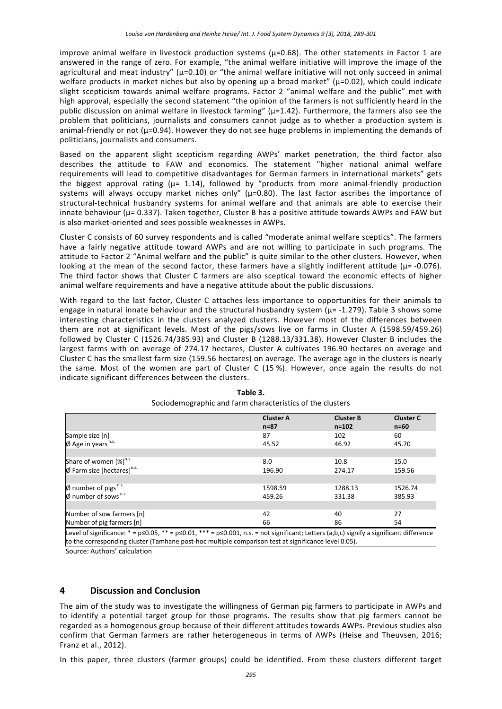improve animal welfare in livestock production systems ( $\mu$ =0.68). The other statements in Factor 1 are answered in the range of zero. For example, "the animal welfare initiative will improve the image of the agricultural and meat industry" ( $\mu$ =0.10) or "the animal welfare initiative will not only succeed in animal welfare products in market niches but also by opening up a broad market" ( $\mu$ =0.02), which could indicate slight scepticism towards animal welfare programs. Factor 2 "animal welfare and the public" met with high approval, especially the second statement "the opinion of the farmers is not sufficiently heard in the public discussion on animal welfare in livestock farming" ( $\mu$ =1.42). Furthermore, the farmers also see the problem that politicians, journalists and consumers cannot judge as to whether a production system is animal-friendly or not (µ=0.94). However they do not see huge problems in implementing the demands of politicians, journalists and consumers.

Based on the apparent slight scepticism regarding AWPs' market penetration, the third factor also describes the attitude to FAW and economics. The statement "higher national animal welfare requirements will lead to competitive disadvantages for German farmers in international markets" gets the biggest approval rating  $(\mu = 1.14)$ , followed by "products from more animal-friendly production systems will always occupy market niches only" ( $\mu$ =0.80). The last factor ascribes the importance of structural-technical husbandry systems for animal welfare and that animals are able to exercise their innate behaviour (µ= 0.337). Taken together, Cluster B has a positive attitude towards AWPs and FAW but is also market-oriented and sees possible weaknesses in AWPs.

Cluster C consists of 60 survey respondents and is called "moderate animal welfare sceptics". The farmers have a fairly negative attitude toward AWPs and are not willing to participate in such programs. The attitude to Factor 2 "Animal welfare and the public" is quite similar to the other clusters. However, when looking at the mean of the second factor, these farmers have a slightly indifferent attitude ( $\mu$ = -0.076). The third factor shows that Cluster C farmers are also sceptical toward the economic effects of higher animal welfare requirements and have a negative attitude about the public discussions.

With regard to the last factor, Cluster C attaches less importance to opportunities for their animals to engage in natural innate behaviour and the structural husbandry system (µ= ‐1.279). Table 3 shows some interesting characteristics in the clusters analyzed clusters. However most of the differences between them are not at significant levels. Most of the pigs/sows live on farms in Cluster A (1598.59/459.26) followed by Cluster C (1526.74/385.93) and Cluster B (1288.13/331.38). However Cluster B includes the largest farms with on average of 274.17 hectares, Cluster A cultivates 196.90 hectares on average and Cluster C has the smallest farm size (159.56 hectares) on average. The average age in the clusters is nearly the same. Most of the women are part of Cluster C (15%). However, once again the results do not indicate significant differences between the clusters.

|                                                  | <b>Cluster A</b><br>$n = 87$ | <b>Cluster B</b><br>$n = 102$ | <b>Cluster C</b><br>$n=60$ |
|--------------------------------------------------|------------------------------|-------------------------------|----------------------------|
| Sample size [n]                                  | 87                           | 102                           | 60                         |
| $\phi$ Age in years n.s.                         | 45.52                        | 46.92                         | 45.70                      |
|                                                  |                              |                               |                            |
| Share of women [%] <sup>n.s.</sup>               | 8.0                          | 10.8                          | 15.0                       |
| $\emptyset$ Farm size [hectares] <sup>n.s.</sup> | 196.90                       | 274.17                        | 159.56                     |
|                                                  |                              |                               |                            |
| $\emptyset$ number of pigs $n.s.$                | 1598.59                      | 1288.13                       | 1526.74                    |
| $\phi$ number of sows <sup>n.s.</sup>            | 459.26                       | 331.38                        | 385.93                     |
|                                                  |                              |                               |                            |
| Number of sow farmers [n]                        | 42                           | 40                            | 27                         |
| Number of pig farmers [n]                        | 66                           | 86                            | 54                         |

| Table 3.                                                  |
|-----------------------------------------------------------|
| Sociodemographic and farm characteristics of the clusters |

Level of significance: \* = p≤0.05, \*\* = p≤0.01, \*\*\* = p≤0.001, n.s. = not significant; Letters (a,b,c) signify a significant difference to the corresponding cluster (Tamhane post‐hoc multiple comparison test at significance level 0.05).

Source: Authors' calculation

# **4 Discussion and Conclusion**

The aim of the study was to investigate the willingness of German pig farmers to participate in AWPs and to identify a potential target group for those programs. The results show that pig farmers cannot be regarded as a homogenous group because of their different attitudes towards AWPs. Previous studies also confirm that German farmers are rather heterogeneous in terms of AWPs (Heise and Theuvsen, 2016; Franz et al., 2012).

In this paper, three clusters (farmer groups) could be identified. From these clusters different target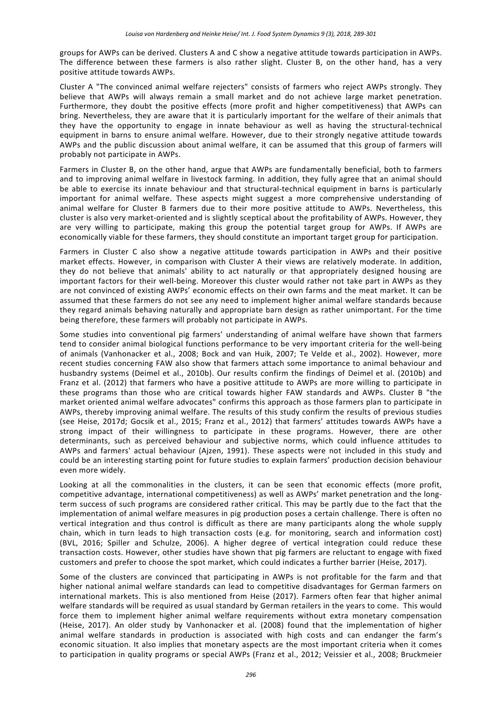groups for AWPs can be derived. Clusters A and C show a negative attitude towards participation in AWPs. The difference between these farmers is also rather slight. Cluster B, on the other hand, has a very positive attitude towards AWPs.

Cluster A "The convinced animal welfare rejecters" consists of farmers who reject AWPs strongly. They believe that AWPs will always remain a small market and do not achieve large market penetration. Furthermore, they doubt the positive effects (more profit and higher competitiveness) that AWPs can bring. Nevertheless, they are aware that it is particularly important for the welfare of their animals that they have the opportunity to engage in innate behaviour as well as having the structural‐technical equipment in barns to ensure animal welfare. However, due to their strongly negative attitude towards AWPs and the public discussion about animal welfare, it can be assumed that this group of farmers will probably not participate in AWPs.

Farmers in Cluster B, on the other hand, argue that AWPs are fundamentally beneficial, both to farmers and to improving animal welfare in livestock farming. In addition, they fully agree that an animal should be able to exercise its innate behaviour and that structural-technical equipment in barns is particularly important for animal welfare. These aspects might suggest a more comprehensive understanding of animal welfare for Cluster B farmers due to their more positive attitude to AWPs. Nevertheless, this cluster is also very market‐oriented and is slightly sceptical about the profitability of AWPs. However, they are very willing to participate, making this group the potential target group for AWPs. If AWPs are economically viable for these farmers, they should constitute an important target group for participation.

Farmers in Cluster C also show a negative attitude towards participation in AWPs and their positive market effects. However, in comparison with Cluster A their views are relatively moderate. In addition, they do not believe that animals' ability to act naturally or that appropriately designed housing are important factors for their well-being. Moreover this cluster would rather not take part in AWPs as they are not convinced of existing AWPs' economic effects on their own farms and the meat market. It can be assumed that these farmers do not see any need to implement higher animal welfare standards because they regard animals behaving naturally and appropriate barn design as rather unimportant. For the time being therefore, these farmers will probably not participate in AWPs.

Some studies into conventional pig farmers' understanding of animal welfare have shown that farmers tend to consider animal biological functions performance to be very important criteria for the well-being of animals (Vanhonacker et al., 2008; Bock and van Huik, 2007; Te Velde et al., 2002). However, more recent studies concerning FAW also show that farmers attach some importance to animal behaviour and husbandry systems (Deimel et al., 2010b). Our results confirm the findings of Deimel et al. (2010b) and Franz et al. (2012) that farmers who have a positive attitude to AWPs are more willing to participate in these programs than those who are critical towards higher FAW standards and AWPs. Cluster B "the market oriented animal welfare advocates" confirms this approach as those farmers plan to participate in AWPs, thereby improving animal welfare. The results of this study confirm the results of previous studies (see Heise, 2017d; Gocsik et al., 2015; Franz et al., 2012) that farmers' attitudes towards AWPs have a strong impact of their willingness to participate in these programs. However, there are other determinants, such as perceived behaviour and subjective norms, which could influence attitudes to AWPs and farmers' actual behaviour (Ajzen, 1991). These aspects were not included in this study and could be an interesting starting point for future studies to explain farmers' production decision behaviour even more widely.

Looking at all the commonalities in the clusters, it can be seen that economic effects (more profit, competitive advantage, international competitiveness) as well as AWPs' market penetration and the long‐ term success of such programs are considered rather critical. This may be partly due to the fact that the implementation of animal welfare measures in pig production poses a certain challenge. There is often no vertical integration and thus control is difficult as there are many participants along the whole supply chain, which in turn leads to high transaction costs (e.g. for monitoring, search and information cost) (BVL, 2016; Spiller and Schulze, 2006). A higher degree of vertical integration could reduce these transaction costs. However, other studies have shown that pig farmers are reluctant to engage with fixed customers and prefer to choose the spot market, which could indicates a further barrier (Heise, 2017).

Some of the clusters are convinced that participating in AWPs is not profitable for the farm and that higher national animal welfare standards can lead to competitive disadvantages for German farmers on international markets. This is also mentioned from Heise (2017). Farmers often fear that higher animal welfare standards will be required as usual standard by German retailers in the years to come. This would force them to implement higher animal welfare requirements without extra monetary compensation (Heise, 2017). An older study by Vanhonacker et al. (2008) found that the implementation of higher animal welfare standards in production is associated with high costs and can endanger the farm's economic situation. It also implies that monetary aspects are the most important criteria when it comes to participation in quality programs or special AWPs (Franz et al., 2012; Veissier et al., 2008; Bruckmeier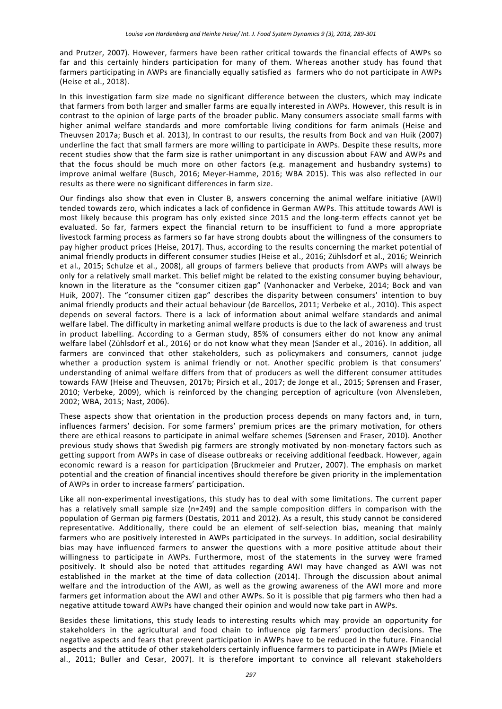and Prutzer, 2007). However, farmers have been rather critical towards the financial effects of AWPs so far and this certainly hinders participation for many of them. Whereas another study has found that farmers participating in AWPs are financially equally satisfied as farmers who do not participate in AWPs (Heise et al., 2018).

In this investigation farm size made no significant difference between the clusters, which may indicate that farmers from both larger and smaller farms are equally interested in AWPs. However, this result is in contrast to the opinion of large parts of the broader public. Many consumers associate small farms with higher animal welfare standards and more comfortable living conditions for farm animals (Heise and Theuvsen 2017a; Busch et al. 2013), In contrast to our results, the results from Bock and van Huik (2007) underline the fact that small farmers are more willing to participate in AWPs. Despite these results, more recent studies show that the farm size is rather unimportant in any discussion about FAW and AWPs and that the focus should be much more on other factors (e.g. management and husbandry systems) to improve animal welfare (Busch, 2016; Meyer-Hamme, 2016; WBA 2015). This was also reflected in our results as there were no significant differences in farm size.

Our findings also show that even in Cluster B, answers concerning the animal welfare initiative (AWI) tended towards zero, which indicates a lack of confidence in German AWPs. This attitude towards AWI is most likely because this program has only existed since 2015 and the long-term effects cannot vet be evaluated. So far, farmers expect the financial return to be insufficient to fund a more appropriate livestock farming process as farmers so far have strong doubts about the willingness of the consumers to pay higher product prices (Heise, 2017). Thus, according to the results concerning the market potential of animal friendly products in different consumer studies (Heise et al., 2016; Zühlsdorf et al., 2016; Weinrich et al., 2015; Schulze et al., 2008), all groups of farmers believe that products from AWPs will always be only for a relatively small market. This belief might be related to the existing consumer buying behaviour, known in the literature as the "consumer citizen gap" (Vanhonacker and Verbeke, 2014; Bock and van Huik, 2007). The "consumer citizen gap" describes the disparity between consumers' intention to buy animal friendly products and their actual behaviour (de Barcellos, 2011; Verbeke et al., 2010). This aspect depends on several factors. There is a lack of information about animal welfare standards and animal welfare label. The difficulty in marketing animal welfare products is due to the lack of awareness and trust in product labelling. According to a German study, 85% of consumers either do not know any animal welfare label (Zühlsdorf et al., 2016) or do not know what they mean (Sander et al., 2016). In addition, all farmers are convinced that other stakeholders, such as policymakers and consumers, cannot judge whether a production system is animal friendly or not. Another specific problem is that consumers' understanding of animal welfare differs from that of producers as well the different consumer attitudes towards FAW (Heise and Theuvsen, 2017b; Pirsich et al., 2017; de Jonge et al., 2015; Sørensen and Fraser, 2010; Verbeke, 2009), which is reinforced by the changing perception of agriculture (von Alvensleben, 2002; WBA, 2015; Nast, 2006).

These aspects show that orientation in the production process depends on many factors and, in turn, influences farmers' decision. For some farmers' premium prices are the primary motivation, for others there are ethical reasons to participate in animal welfare schemes (Sørensen and Fraser, 2010). Another previous study shows that Swedish pig farmers are strongly motivated by non-monetary factors such as getting support from AWPs in case of disease outbreaks or receiving additional feedback. However, again economic reward is a reason for participation (Bruckmeier and Prutzer, 2007). The emphasis on market potential and the creation of financial incentives should therefore be given priority in the implementation of AWPs in order to increase farmers' participation.

Like all non-experimental investigations, this study has to deal with some limitations. The current paper has a relatively small sample size (n=249) and the sample composition differs in comparison with the population of German pig farmers (Destatis, 2011 and 2012). As a result, this study cannot be considered representative. Additionally, there could be an element of self-selection bias, meaning that mainly farmers who are positively interested in AWPs participated in the surveys. In addition, social desirability bias may have influenced farmers to answer the questions with a more positive attitude about their willingness to participate in AWPs. Furthermore, most of the statements in the survey were framed positively. It should also be noted that attitudes regarding AWI may have changed as AWI was not established in the market at the time of data collection (2014). Through the discussion about animal welfare and the introduction of the AWI, as well as the growing awareness of the AWI more and more farmers get information about the AWI and other AWPs. So it is possible that pig farmers who then had a negative attitude toward AWPs have changed their opinion and would now take part in AWPs.

Besides these limitations, this study leads to interesting results which may provide an opportunity for stakeholders in the agricultural and food chain to influence pig farmers' production decisions. The negative aspects and fears that prevent participation in AWPs have to be reduced in the future. Financial aspects and the attitude of other stakeholders certainly influence farmers to participate in AWPs (Miele et al., 2011; Buller and Cesar, 2007). It is therefore important to convince all relevant stakeholders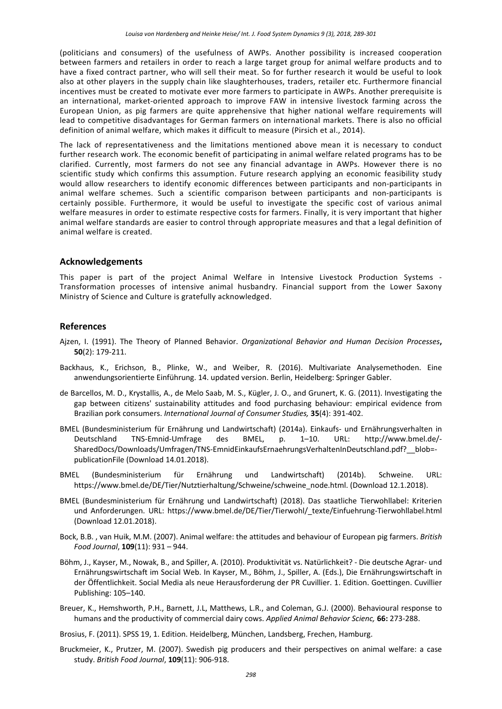(politicians and consumers) of the usefulness of AWPs. Another possibility is increased cooperation between farmers and retailers in order to reach a large target group for animal welfare products and to have a fixed contract partner, who will sell their meat. So for further research it would be useful to look also at other players in the supply chain like slaughterhouses, traders, retailer etc. Furthermore financial incentives must be created to motivate ever more farmers to participate in AWPs. Another prerequisite is an international, market‐oriented approach to improve FAW in intensive livestock farming across the European Union, as pig farmers are quite apprehensive that higher national welfare requirements will lead to competitive disadvantages for German farmers on international markets. There is also no official definition of animal welfare, which makes it difficult to measure (Pirsich et al., 2014).

The lack of representativeness and the limitations mentioned above mean it is necessary to conduct further research work. The economic benefit of participating in animal welfare related programs has to be clarified. Currently, most farmers do not see any financial advantage in AWPs. However there is no scientific study which confirms this assumption. Future research applying an economic feasibility study would allow researchers to identify economic differences between participants and non-participants in animal welfare schemes. Such a scientific comparison between participants and non-participants is certainly possible. Furthermore, it would be useful to investigate the specific cost of various animal welfare measures in order to estimate respective costs for farmers. Finally, it is very important that higher animal welfare standards are easier to control through appropriate measures and that a legal definition of animal welfare is created.

#### **Acknowledgements**

This paper is part of the project Animal Welfare in Intensive Livestock Production Systems -Transformation processes of intensive animal husbandry. Financial support from the Lower Saxony Ministry of Science and Culture is gratefully acknowledged.

## **References**

- Ajzen, I. (1991). The Theory of Planned Behavior. *Organizational Behavior and Human Decision Processes***, 50**(2): 179‐211.
- Backhaus, K., Erichson, B., Plinke, W., and Weiber, R. (2016). Multivariate Analysemethoden. Eine anwendungsorientierte Einführung. 14. updated version. Berlin, Heidelberg: Springer Gabler.
- de Barcellos, M. D., Krystallis, A., de Melo Saab, M. S., Kügler, J. O., and Grunert, K. G. (2011). Investigating the gap between citizens' sustainability attitudes and food purchasing behaviour: empirical evidence from Brazilian pork consumers. *International Journal of Consumer Studies,* **35**(4): 391‐402.
- BMEL (Bundesministerium für Ernährung und Landwirtschaft) (2014a). Einkaufs‐ und Ernährungsverhalten in Deutschland TNS‐Emnid‐Umfrage des BMEL, p. 1–10. URL: http://www.bmel.de/‐ SharedDocs/Downloads/Umfragen/TNS-EmnidEinkaufsErnaehrungsVerhaltenInDeutschland.pdf?\_\_blob=publicationFile (Download 14.01.2018).
- BMEL (Bundesministerium für Ernährung und Landwirtschaft) (2014b). Schweine. URL: https://www.bmel.de/DE/Tier/Nutztierhaltung/Schweine/schweine\_node.html. (Download 12.1.2018).
- BMEL (Bundesministerium für Ernährung und Landwirtschaft) (2018). Das staatliche Tierwohllabel: Kriterien und Anforderungen. URL: https://www.bmel.de/DE/Tier/Tierwohl/\_texte/Einfuehrung-Tierwohllabel.html (Download 12.01.2018).
- Bock, B.B. , van Huik, M.M. (2007). Animal welfare: the attitudes and behaviour of European pig farmers. *British Food Journal*, **109**(11): 931 – 944.
- Böhm, J., Kayser, M., Nowak, B., and Spiller, A. (2010). Produktivität vs. Natürlichkeit? ‐ Die deutsche Agrar‐ und Ernährungswirtschaft im Social Web. In Kayser, M., Böhm, J., Spiller, A. (Eds.), Die Ernährungswirtschaft in der Öffentlichkeit. Social Media als neue Herausforderung der PR Cuvillier. 1. Edition. Goettingen. Cuvillier Publishing: 105–140.
- Breuer, K., Hemshworth, P.H., Barnett, J.L, Matthews, L.R., and Coleman, G.J. (2000). Behavioural response to humans and the productivity of commercial dairy cows. *Applied Animal Behavior Scienc,* **66:** 273‐288.
- Brosius, F. (2011). SPSS 19, 1. Edition. Heidelberg, München, Landsberg, Frechen, Hamburg.
- Bruckmeier, K., Prutzer, M. (2007). Swedish pig producers and their perspectives on animal welfare: a case study. *British Food Journal*, **109**(11): 906‐918.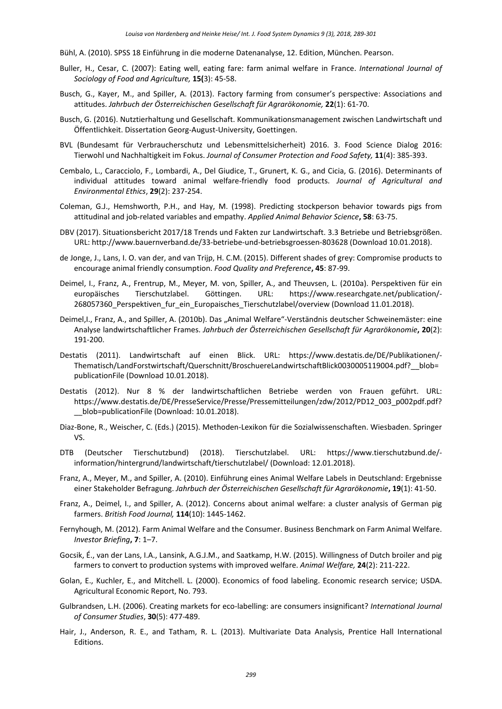- Bühl, A. (2010). SPSS 18 Einführung in die moderne Datenanalyse, 12. Edition, München. Pearson.
- Buller, H., Cesar, C. (2007): Eating well, eating fare: farm animal welfare in France. *International Journal of Sociology of Food and Agriculture,* **15(**3): 45‐58.
- Busch, G., Kayer, M., and Spiller, A. (2013). Factory farming from consumer's perspective: Associations and attitudes. *Jahrbuch der Österreichischen Gesellschaft für Agrarökonomie,* **22**(1): 61‐70.
- Busch, G. (2016). Nutztierhaltung und Gesellschaft. Kommunikationsmanagement zwischen Landwirtschaft und Öffentlichkeit. Dissertation Georg‐August‐University, Goettingen.
- BVL (Bundesamt für Verbraucherschutz und Lebensmittelsicherheit) 2016. 3. Food Science Dialog 2016: Tierwohl und Nachhaltigkeit im Fokus. *Journal of Consumer Protection and Food Safety,* **11**(4): 385‐393.
- Cembalo, L., Caracciolo, F., Lombardi, A., Del Giudice, T., Grunert, K. G., and Cicia, G. (2016). Determinants of individual attitudes toward animal welfare‐friendly food products. *Journal of Agricultural and Environmental Ethics*, **29**(2): 237‐254.
- Coleman, G.J., Hemshworth, P.H., and Hay, M. (1998). Predicting stockperson behavior towards pigs from attitudinal and job‐related variables and empathy. *Applied Animal Behavior Science***, 58**: 63‐75.
- DBV (2017). Situationsbericht 2017/18 Trends und Fakten zur Landwirtschaft. 3.3 Betriebe und Betriebsgrößen. URL: http://www.bauernverband.de/33‐betriebe‐und‐betriebsgroessen‐803628 (Download 10.01.2018).
- de Jonge, J., Lans, I. O. van der, and van Trijp, H. C.M. (2015). Different shades of grey: Compromise products to encourage animal friendly consumption. *Food Quality and Preference***, 45**: 87‐99.
- Deimel, I., Franz, A., Frentrup, M., Meyer, M. von, Spiller, A., and Theuvsen, L. (2010a). Perspektiven für ein europäisches Tierschutzlabel. Göttingen. URL: https://www.researchgate.net/publication/‐ 268057360\_Perspektiven\_fur\_ein\_Europaisches\_Tierschutzlabel/overview (Download 11.01.2018).
- Deimel,I., Franz, A., and Spiller, A. (2010b). Das "Animal Welfare"-Verständnis deutscher Schweinemäster: eine Analyse landwirtschaftlicher Frames. *Jahrbuch der Österreichischen Gesellschaft für Agrarökonomie***, 20**(2): 191‐200.
- Destatis (2011). Landwirtschaft auf einen Blick. URL: https://www.destatis.de/DE/Publikationen/‐ Thematisch/LandForstwirtschaft/Querschnitt/BroschuereLandwirtschaftBlick0030005119004.pdf?\_\_blob= publicationFile (Download 10.01.2018).
- Destatis (2012). Nur 8 % der landwirtschaftlichen Betriebe werden von Frauen geführt. URL: https://www.destatis.de/DE/PresseService/Presse/Pressemitteilungen/zdw/2012/PD12\_003\_p002pdf.pdf? blob=publicationFile (Download: 10.01.2018).
- Diaz‐Bone, R., Weischer, C. (Eds.) (2015). Methoden‐Lexikon für die Sozialwissenschaften. Wiesbaden. Springer VS.
- DTB (Deutscher Tierschutzbund) (2018). Tierschutzlabel. URL: https://www.tierschutzbund.de/‐ information/hintergrund/landwirtschaft/tierschutzlabel/ (Download: 12.01.2018).
- Franz, A., Meyer, M., and Spiller, A. (2010). Einführung eines Animal Welfare Labels in Deutschland: Ergebnisse einer Stakeholder Befragung. *Jahrbuch der Österreichischen Gesellschaft für Agrarökonomie***, 19**(1): 41‐50.
- Franz, A., Deimel, I., and Spiller, A. (2012). Concerns about animal welfare: a cluster analysis of German pig farmers. *British Food Journal,* **114**(10): 1445‐1462.
- Fernyhough, M. (2012). Farm Animal Welfare and the Consumer. Business Benchmark on Farm Animal Welfare. *Investor Briefing***, 7**: 1–7.
- Gocsik, É., van der Lans, I.A., Lansink, A.G.J.M., and Saatkamp, H.W. (2015). Willingness of Dutch broiler and pig farmers to convert to production systems with improved welfare. *Animal Welfare,* **24**(2): 211‐222.
- Golan, E., Kuchler, E., and Mitchell. L. (2000). Economics of food labeling. Economic research service; USDA. Agricultural Economic Report, No. 793.
- Gulbrandsen, L.H. (2006). Creating markets for eco‐labelling: are consumers insignificant? *International Journal of Consumer Studies*, **30**(5): 477‐489.
- Hair, J., Anderson, R. E., and Tatham, R. L. (2013). Multivariate Data Analysis, Prentice Hall International Editions.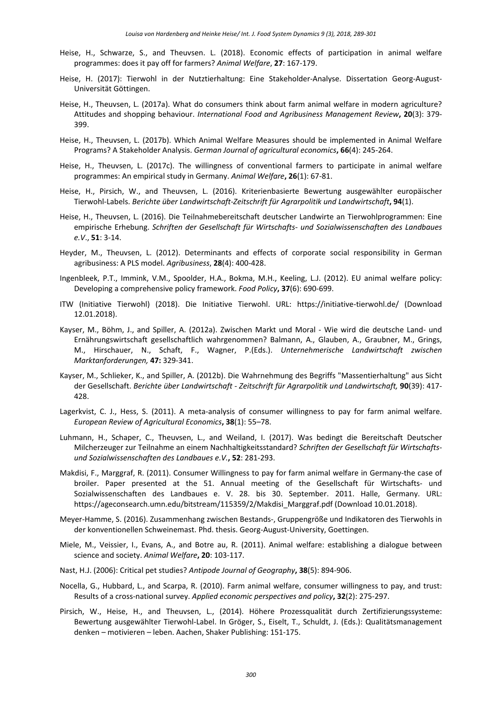- Heise, H., Schwarze, S., and Theuvsen. L. (2018). Economic effects of participation in animal welfare programmes: does it pay off for farmers? *Animal Welfare*, **27**: 167‐179.
- Heise, H. (2017): Tierwohl in der Nutztierhaltung: Eine Stakeholder-Analyse. Dissertation Georg-August-Universität Göttingen.
- Heise, H., Theuvsen, L. (2017a). What do consumers think about farm animal welfare in modern agriculture? Attitudes and shopping behaviour. *International Food and Agribusiness Management Review***, 20**(3): 379‐ 399.
- Heise, H., Theuvsen, L. (2017b). Which Animal Welfare Measures should be implemented in Animal Welfare Programs? A Stakeholder Analysis. *German Journal of agricultural economics***, 66**(4): 245‐264.
- Heise, H., Theuvsen, L. (2017c). The willingness of conventional farmers to participate in animal welfare programmes: An empirical study in Germany. *Animal Welfare***, 26**(1): 67‐81.
- Heise, H., Pirsich, W., and Theuvsen, L. (2016). Kriterienbasierte Bewertung ausgewählter europäischer Tierwohl‐Labels. *Berichte über Landwirtschaft‐Zeitschrift für Agrarpolitik und Landwirtschaft***, 94**(1).
- Heise, H., Theuvsen, L. (2016). Die Teilnahmebereitschaft deutscher Landwirte an Tierwohlprogrammen: Eine empirische Erhebung. *Schriften der Gesellschaft für Wirtschafts‐ und Sozialwissenschaften des Landbaues e.V*., **51**: 3‐14.
- Heyder, M., Theuvsen, L. (2012). Determinants and effects of corporate social responsibility in German agribusiness: A PLS model. *Agribusiness*, **28**(4): 400‐428.
- Ingenbleek, P.T., Immink, V.M., Spoolder, H.A., Bokma, M.H., Keeling, L.J. (2012). EU animal welfare policy: Developing a comprehensive policy framework. *Food Policy***, 37**(6): 690‐699.
- ITW (Initiative Tierwohl) (2018). Die Initiative Tierwohl. URL: https://initiative‐tierwohl.de/ (Download 12.01.2018).
- Kayser, M., Böhm, J., and Spiller, A. (2012a). Zwischen Markt und Moral Wie wird die deutsche Land- und Ernährungswirtschaft gesellschaftlich wahrgenommen? Balmann, A., Glauben, A., Graubner, M., Grings, M., Hirschauer, N., Schaft, F., Wagner, P.(Eds.). *Unternehmerische Landwirtschaft zwischen Marktanforderungen,* **47:** 329‐341.
- Kayser, M., Schlieker, K., and Spiller, A. (2012b). Die Wahrnehmung des Begriffs "Massentierhaltung" aus Sicht der Gesellschaft. *Berichte über Landwirtschaft ‐ Zeitschrift für Agrarpolitik und Landwirtschaft,* **90**(39): 417‐ 428.
- Lagerkvist, C. J., Hess, S. (2011). A meta-analysis of consumer willingness to pay for farm animal welfare. *European Review of Agricultural Economics***, 38**(1): 55–78.
- Luhmann, H., Schaper, C., Theuvsen, L., and Weiland, I. (2017). Was bedingt die Bereitschaft Deutscher Milcherzeuger zur Teilnahme an einem Nachhaltigkeitsstandard? *Schriften der Gesellschaft für Wirtschafts‐ und Sozialwissenschaften des Landbaues e.V.***, 52**: 281‐293.
- Makdisi, F., Marggraf, R. (2011). Consumer Willingness to pay for farm animal welfare in Germany‐the case of broiler. Paper presented at the 51. Annual meeting of the Gesellschaft für Wirtschafts- und Sozialwissenschaften des Landbaues e. V. 28. bis 30. September. 2011. Halle, Germany. URL: https://ageconsearch.umn.edu/bitstream/115359/2/Makdisi\_Marggraf.pdf (Download 10.01.2018).
- Meyer‐Hamme, S. (2016). Zusammenhang zwischen Bestands‐, Gruppengröße und Indikatoren des Tierwohls in der konventionellen Schweinemast. Phd. thesis. Georg‐August‐University, Goettingen.
- Miele, M., Veissier, I., Evans, A., and Botre au, R. (2011). Animal welfare: establishing a dialogue between science and society. *Animal Welfare***, 20**: 103‐117.
- Nast, H.J. (2006): Critical pet studies? *Antipode Journal of Geography***, 38**(5): 894‐906.
- Nocella, G., Hubbard, L., and Scarpa, R. (2010). Farm animal welfare, consumer willingness to pay, and trust: Results of a cross‐national survey. *Applied economic perspectives and policy***, 32**(2): 275‐297.
- Pirsich, W., Heise, H., and Theuvsen, L., (2014). Höhere Prozessqualität durch Zertifizierungssysteme: Bewertung ausgewählter Tierwohl‐Label. In Gröger, S., Eiselt, T., Schuldt, J. (Eds.): Qualitätsmanagement denken – motivieren – leben. Aachen, Shaker Publishing: 151‐175.